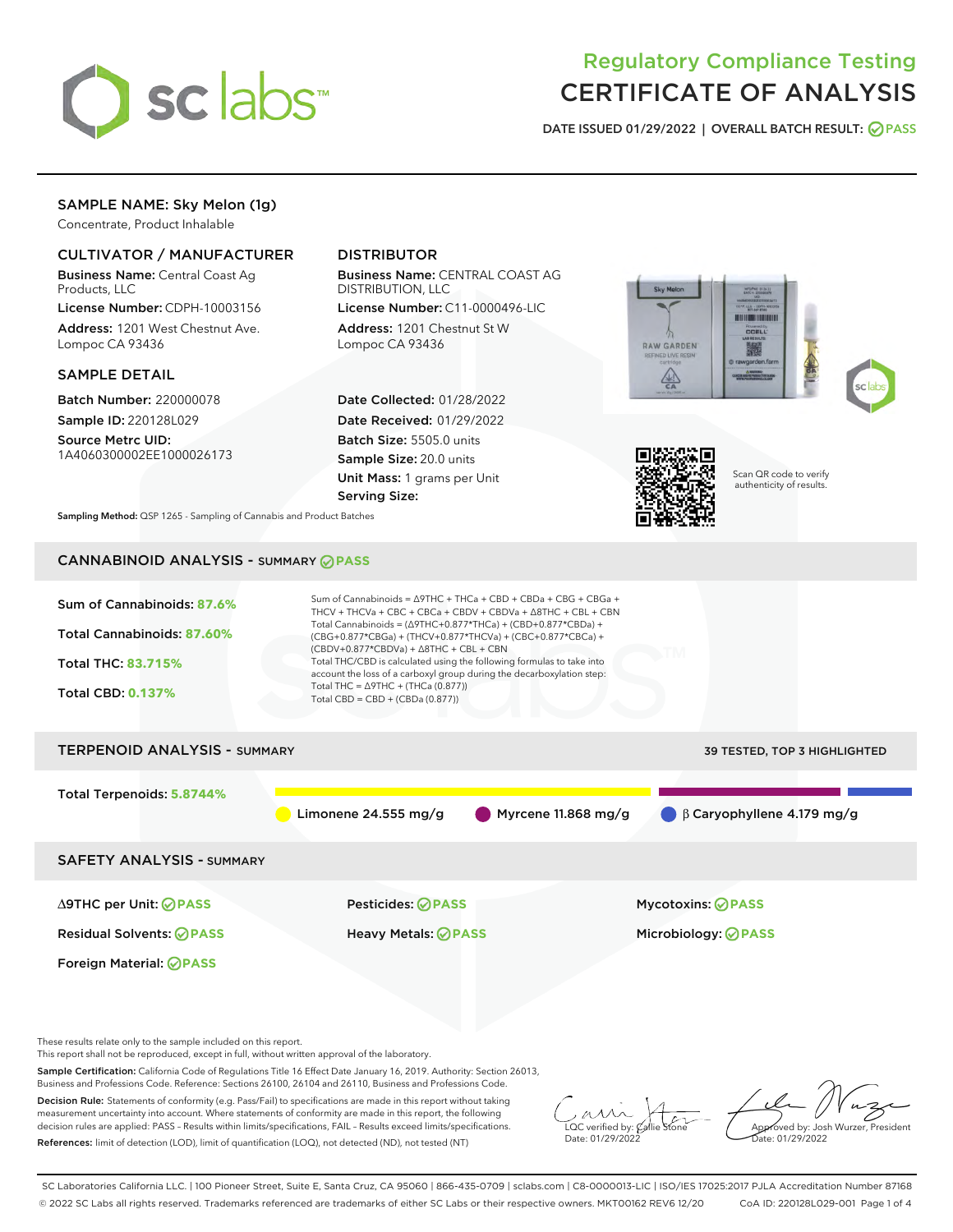

# Regulatory Compliance Testing CERTIFICATE OF ANALYSIS

DATE ISSUED 01/29/2022 | OVERALL BATCH RESULT: @ PASS

# SAMPLE NAME: Sky Melon (1g)

Concentrate, Product Inhalable

## CULTIVATOR / MANUFACTURER

Business Name: Central Coast Ag Products, LLC

License Number: CDPH-10003156 Address: 1201 West Chestnut Ave. Lompoc CA 93436

## SAMPLE DETAIL

Batch Number: 220000078 Sample ID: 220128L029

Source Metrc UID: 1A4060300002EE1000026173

# DISTRIBUTOR

Business Name: CENTRAL COAST AG DISTRIBUTION, LLC

License Number: C11-0000496-LIC Address: 1201 Chestnut St W Lompoc CA 93436

Date Collected: 01/28/2022 Date Received: 01/29/2022 Batch Size: 5505.0 units Sample Size: 20.0 units Unit Mass: 1 grams per Unit Serving Size:







Scan QR code to verify authenticity of results.

Sampling Method: QSP 1265 - Sampling of Cannabis and Product Batches

# CANNABINOID ANALYSIS - SUMMARY **PASS**

| Sum of Cannabinoids: 87.6%<br>Total Cannabinoids: 87.60%<br><b>Total THC: 83.715%</b><br><b>Total CBD: 0.137%</b> | Sum of Cannabinoids = $\triangle$ 9THC + THCa + CBD + CBDa + CBG + CBGa +<br>THCV + THCVa + CBC + CBCa + CBDV + CBDVa + $\triangle$ 8THC + CBL + CBN<br>Total Cannabinoids = $(\Delta$ 9THC+0.877*THCa) + (CBD+0.877*CBDa) +<br>(CBG+0.877*CBGa) + (THCV+0.877*THCVa) + (CBC+0.877*CBCa) +<br>$(CBDV+0.877*CBDVa) + \Delta 8THC + CBL + CBN$<br>Total THC/CBD is calculated using the following formulas to take into<br>account the loss of a carboxyl group during the decarboxylation step:<br>Total THC = $\triangle$ 9THC + (THCa (0.877))<br>Total CBD = CBD + (CBDa $(0.877)$ ) |                                                         |
|-------------------------------------------------------------------------------------------------------------------|----------------------------------------------------------------------------------------------------------------------------------------------------------------------------------------------------------------------------------------------------------------------------------------------------------------------------------------------------------------------------------------------------------------------------------------------------------------------------------------------------------------------------------------------------------------------------------------|---------------------------------------------------------|
| <b>TERPENOID ANALYSIS - SUMMARY</b>                                                                               |                                                                                                                                                                                                                                                                                                                                                                                                                                                                                                                                                                                        | 39 TESTED, TOP 3 HIGHLIGHTED                            |
| Total Terpenoids: 5.8744%                                                                                         | Limonene $24.555$ mg/g                                                                                                                                                                                                                                                                                                                                                                                                                                                                                                                                                                 | Myrcene 11.868 mg/g<br>$\beta$ Caryophyllene 4.179 mg/g |
| <b>SAFETY ANALYSIS - SUMMARY</b>                                                                                  |                                                                                                                                                                                                                                                                                                                                                                                                                                                                                                                                                                                        |                                                         |
| ∆9THC per Unit: ⊘PASS<br><b>Residual Solvents: ⊘PASS</b><br>Foreign Material: <b>⊘ PASS</b>                       | Pesticides: ⊘PASS<br>Heavy Metals: <b>⊘</b> PASS                                                                                                                                                                                                                                                                                                                                                                                                                                                                                                                                       | <b>Mycotoxins: ⊘PASS</b><br>Microbiology: <b>⊘PASS</b>  |

These results relate only to the sample included on this report.

This report shall not be reproduced, except in full, without written approval of the laboratory.

Sample Certification: California Code of Regulations Title 16 Effect Date January 16, 2019. Authority: Section 26013, Business and Professions Code. Reference: Sections 26100, 26104 and 26110, Business and Professions Code.

Decision Rule: Statements of conformity (e.g. Pass/Fail) to specifications are made in this report without taking measurement uncertainty into account. Where statements of conformity are made in this report, the following decision rules are applied: PASS – Results within limits/specifications, FAIL – Results exceed limits/specifications. References: limit of detection (LOD), limit of quantification (LOQ), not detected (ND), not tested (NT)

LOC verified by:  $\mathcal{C}$ allie Date: 01/29/2022

Approved by: Josh Wurzer, President ate: 01/29/2022

SC Laboratories California LLC. | 100 Pioneer Street, Suite E, Santa Cruz, CA 95060 | 866-435-0709 | sclabs.com | C8-0000013-LIC | ISO/IES 17025:2017 PJLA Accreditation Number 87168 © 2022 SC Labs all rights reserved. Trademarks referenced are trademarks of either SC Labs or their respective owners. MKT00162 REV6 12/20 CoA ID: 220128L029-001 Page 1 of 4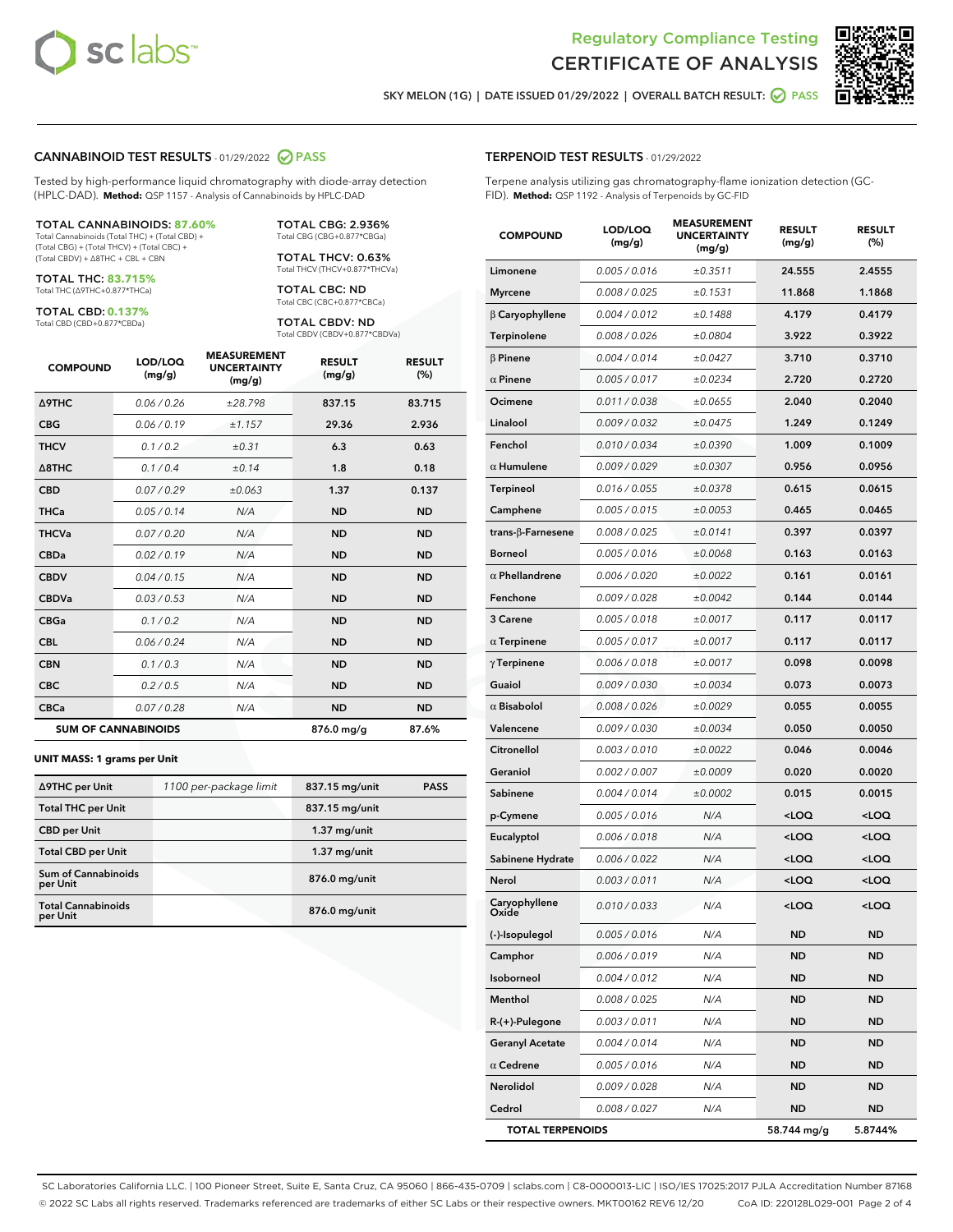



SKY MELON (1G) | DATE ISSUED 01/29/2022 | OVERALL BATCH RESULT:  $\bigcirc$  PASS

### CANNABINOID TEST RESULTS - 01/29/2022 2 PASS

Tested by high-performance liquid chromatography with diode-array detection (HPLC-DAD). **Method:** QSP 1157 - Analysis of Cannabinoids by HPLC-DAD

#### TOTAL CANNABINOIDS: **87.60%**

Total Cannabinoids (Total THC) + (Total CBD) + (Total CBG) + (Total THCV) + (Total CBC) + (Total CBDV) + ∆8THC + CBL + CBN

TOTAL THC: **83.715%** Total THC (∆9THC+0.877\*THCa)

TOTAL CBD: **0.137%**

Total CBD (CBD+0.877\*CBDa)

TOTAL CBG: 2.936% Total CBG (CBG+0.877\*CBGa)

TOTAL THCV: 0.63% Total THCV (THCV+0.877\*THCVa)

TOTAL CBC: ND Total CBC (CBC+0.877\*CBCa)

TOTAL CBDV: ND Total CBDV (CBDV+0.877\*CBDVa)

| <b>COMPOUND</b>  | LOD/LOQ<br>(mg/g)          | <b>MEASUREMENT</b><br><b>UNCERTAINTY</b><br>(mg/g) | <b>RESULT</b><br>(mg/g) | <b>RESULT</b><br>(%) |
|------------------|----------------------------|----------------------------------------------------|-------------------------|----------------------|
| <b>A9THC</b>     | 0.06 / 0.26                | ±28.798                                            | 837.15                  | 83.715               |
| <b>CBG</b>       | 0.06/0.19                  | ±1.157                                             | 29.36                   | 2.936                |
| <b>THCV</b>      | 0.1/0.2                    | ±0.31                                              | 6.3                     | 0.63                 |
| $\triangle$ 8THC | 0.1/0.4                    | ±0.14                                              | 1.8                     | 0.18                 |
| <b>CBD</b>       | 0.07/0.29                  | ±0.063                                             | 1.37                    | 0.137                |
| <b>THCa</b>      | 0.05/0.14                  | N/A                                                | <b>ND</b>               | <b>ND</b>            |
| <b>THCVa</b>     | 0.07/0.20                  | N/A                                                | <b>ND</b>               | <b>ND</b>            |
| <b>CBDa</b>      | 0.02/0.19                  | N/A                                                | <b>ND</b>               | <b>ND</b>            |
| <b>CBDV</b>      | 0.04/0.15                  | N/A                                                | <b>ND</b>               | <b>ND</b>            |
| <b>CBDVa</b>     | 0.03/0.53                  | N/A                                                | <b>ND</b>               | <b>ND</b>            |
| <b>CBGa</b>      | 0.1/0.2                    | N/A                                                | <b>ND</b>               | <b>ND</b>            |
| <b>CBL</b>       | 0.06 / 0.24                | N/A                                                | <b>ND</b>               | <b>ND</b>            |
| <b>CBN</b>       | 0.1/0.3                    | N/A                                                | <b>ND</b>               | <b>ND</b>            |
| <b>CBC</b>       | 0.2 / 0.5                  | N/A                                                | <b>ND</b>               | <b>ND</b>            |
| <b>CBCa</b>      | 0.07/0.28                  | N/A                                                | <b>ND</b>               | <b>ND</b>            |
|                  | <b>SUM OF CANNABINOIDS</b> |                                                    | 876.0 mg/g              | 87.6%                |

#### **UNIT MASS: 1 grams per Unit**

| ∆9THC per Unit                         | 1100 per-package limit | 837.15 mg/unit | <b>PASS</b> |
|----------------------------------------|------------------------|----------------|-------------|
| <b>Total THC per Unit</b>              |                        | 837.15 mg/unit |             |
| <b>CBD</b> per Unit                    |                        | $1.37$ mg/unit |             |
| <b>Total CBD per Unit</b>              |                        | $1.37$ mg/unit |             |
| <b>Sum of Cannabinoids</b><br>per Unit |                        | 876.0 mg/unit  |             |
| <b>Total Cannabinoids</b><br>per Unit  |                        | 876.0 mg/unit  |             |

| <b>COMPOUND</b>          | LOD/LOQ<br>(mg/g) | <b>MEASUREMENT</b><br><b>UNCERTAINTY</b><br>(mg/g) | <b>RESULT</b><br>(mg/g)                         | <b>RESULT</b><br>$(\%)$ |
|--------------------------|-------------------|----------------------------------------------------|-------------------------------------------------|-------------------------|
| Limonene                 | 0.005 / 0.016     | ±0.3511                                            | 24.555                                          | 2.4555                  |
| <b>Myrcene</b>           | 0.008 / 0.025     | ±0.1531                                            | 11.868                                          | 1.1868                  |
| $\beta$ Caryophyllene    | 0.004 / 0.012     | ±0.1488                                            | 4.179                                           | 0.4179                  |
| Terpinolene              | 0.008 / 0.026     | ±0.0804                                            | 3.922                                           | 0.3922                  |
| $\beta$ Pinene           | 0.004 / 0.014     | ±0.0427                                            | 3.710                                           | 0.3710                  |
| $\alpha$ Pinene          | 0.005 / 0.017     | ±0.0234                                            | 2.720                                           | 0.2720                  |
| Ocimene                  | 0.011 / 0.038     | ±0.0655                                            | 2.040                                           | 0.2040                  |
| Linalool                 | 0.009 / 0.032     | ±0.0475                                            | 1.249                                           | 0.1249                  |
| Fenchol                  | 0.010 / 0.034     | ±0.0390                                            | 1.009                                           | 0.1009                  |
| $\alpha$ Humulene        | 0.009 / 0.029     | ±0.0307                                            | 0.956                                           | 0.0956                  |
| <b>Terpineol</b>         | 0.016 / 0.055     | ±0.0378                                            | 0.615                                           | 0.0615                  |
| Camphene                 | 0.005 / 0.015     | ±0.0053                                            | 0.465                                           | 0.0465                  |
| $trans-\beta$ -Farnesene | 0.008 / 0.025     | ±0.0141                                            | 0.397                                           | 0.0397                  |
| <b>Borneol</b>           | 0.005 / 0.016     | ±0.0068                                            | 0.163                                           | 0.0163                  |
| $\alpha$ Phellandrene    | 0.006 / 0.020     | ±0.0022                                            | 0.161                                           | 0.0161                  |
| Fenchone                 | 0.009 / 0.028     | ±0.0042                                            | 0.144                                           | 0.0144                  |
| 3 Carene                 | 0.005 / 0.018     | ±0.0017                                            | 0.117                                           | 0.0117                  |
| $\alpha$ Terpinene       | 0.005 / 0.017     | ±0.0017                                            | 0.117                                           | 0.0117                  |
| $\gamma$ Terpinene       | 0.006 / 0.018     | ±0.0017                                            | 0.098                                           | 0.0098                  |
| Guaiol                   | 0.009 / 0.030     | ±0.0034                                            | 0.073                                           | 0.0073                  |
| $\alpha$ Bisabolol       | 0.008 / 0.026     | ±0.0029                                            | 0.055                                           | 0.0055                  |
| Valencene                | 0.009 / 0.030     | ±0.0034                                            | 0.050                                           | 0.0050                  |
| Citronellol              | 0.003 / 0.010     | ±0.0022                                            | 0.046                                           | 0.0046                  |
| Geraniol                 | 0.002 / 0.007     | ±0.0009                                            | 0.020                                           | 0.0020                  |
| Sabinene                 | 0.004 / 0.014     | ±0.0002                                            | 0.015                                           | 0.0015                  |
| p-Cymene                 | 0.005 / 0.016     | N/A                                                | <loq< th=""><th><loq< th=""></loq<></th></loq<> | <loq< th=""></loq<>     |
| Eucalyptol               | 0.006 / 0.018     | N/A                                                | <loq< th=""><th><loq< th=""></loq<></th></loq<> | <loq< th=""></loq<>     |
| Sabinene Hydrate         | 0.006 / 0.022     | N/A                                                | $<$ LOQ                                         | $<$ LOQ                 |
| Nerol                    | 0.003 / 0.011     | N/A                                                | <loq< th=""><th><loq< th=""></loq<></th></loq<> | <loq< th=""></loq<>     |
| Caryophyllene<br>Oxide   | 0.010 / 0.033     | N/A                                                | <loq< th=""><th><loq< th=""></loq<></th></loq<> | <loq< th=""></loq<>     |
| (-)-Isopulegol           | 0.005 / 0.016     | N/A                                                | ND                                              | <b>ND</b>               |
| Camphor                  | 0.006 / 0.019     | N/A                                                | <b>ND</b>                                       | <b>ND</b>               |
| Isoborneol               | 0.004 / 0.012     | N/A                                                | ND                                              | ND                      |
| Menthol                  | 0.008 / 0.025     | N/A                                                | ND                                              | <b>ND</b>               |
| R-(+)-Pulegone           | 0.003 / 0.011     | N/A                                                | <b>ND</b>                                       | <b>ND</b>               |
| <b>Geranyl Acetate</b>   | 0.004 / 0.014     | N/A                                                | ND                                              | ND                      |
| $\alpha$ Cedrene         | 0.005 / 0.016     | N/A                                                | ND                                              | <b>ND</b>               |
| Nerolidol                | 0.009 / 0.028     | N/A                                                | ND                                              | <b>ND</b>               |
| Cedrol                   | 0.008 / 0.027     | N/A                                                | ND                                              | ND                      |
| <b>TOTAL TERPENOIDS</b>  |                   |                                                    | 58.744 mg/g                                     | 5.8744%                 |

SC Laboratories California LLC. | 100 Pioneer Street, Suite E, Santa Cruz, CA 95060 | 866-435-0709 | sclabs.com | C8-0000013-LIC | ISO/IES 17025:2017 PJLA Accreditation Number 87168 © 2022 SC Labs all rights reserved. Trademarks referenced are trademarks of either SC Labs or their respective owners. MKT00162 REV6 12/20 CoA ID: 220128L029-001 Page 2 of 4

# TERPENOID TEST RESULTS - 01/29/2022

Terpene analysis utilizing gas chromatography-flame ionization detection (GC-FID). **Method:** QSP 1192 - Analysis of Terpenoids by GC-FID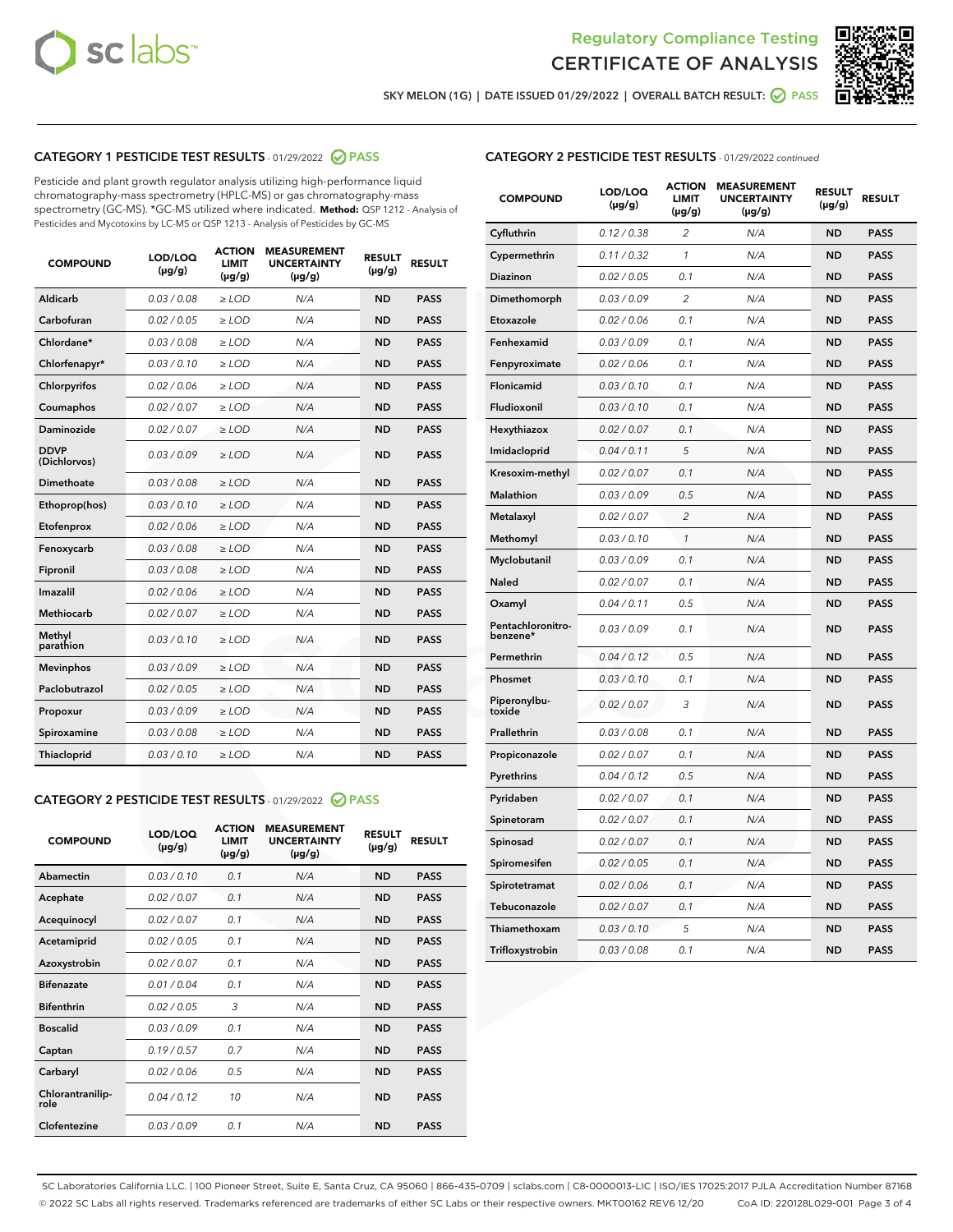



SKY MELON (1G) | DATE ISSUED 01/29/2022 | OVERALL BATCH RESULT:  $\bigcirc$  PASS

## CATEGORY 1 PESTICIDE TEST RESULTS - 01/29/2022 2 PASS

Pesticide and plant growth regulator analysis utilizing high-performance liquid chromatography-mass spectrometry (HPLC-MS) or gas chromatography-mass spectrometry (GC-MS). \*GC-MS utilized where indicated. **Method:** QSP 1212 - Analysis of Pesticides and Mycotoxins by LC-MS or QSP 1213 - Analysis of Pesticides by GC-MS

| <b>COMPOUND</b>             | LOD/LOQ<br>$(\mu g/g)$ | <b>ACTION</b><br><b>LIMIT</b><br>$(\mu g/g)$ | <b>MEASUREMENT</b><br><b>UNCERTAINTY</b><br>$(\mu g/g)$ | <b>RESULT</b><br>$(\mu g/g)$ | <b>RESULT</b> |
|-----------------------------|------------------------|----------------------------------------------|---------------------------------------------------------|------------------------------|---------------|
| Aldicarb                    | 0.03/0.08              | $>$ LOD                                      | N/A                                                     | <b>ND</b>                    | <b>PASS</b>   |
| Carbofuran                  | 0.02 / 0.05            | $\ge$ LOD                                    | N/A                                                     | <b>ND</b>                    | <b>PASS</b>   |
| Chlordane*                  | 0.03 / 0.08            | $\ge$ LOD                                    | N/A                                                     | <b>ND</b>                    | <b>PASS</b>   |
| Chlorfenapyr*               | 0.03/0.10              | $\ge$ LOD                                    | N/A                                                     | <b>ND</b>                    | <b>PASS</b>   |
| Chlorpyrifos                | 0.02 / 0.06            | $\ge$ LOD                                    | N/A                                                     | <b>ND</b>                    | <b>PASS</b>   |
| Coumaphos                   | 0.02 / 0.07            | $\ge$ LOD                                    | N/A                                                     | <b>ND</b>                    | <b>PASS</b>   |
| Daminozide                  | 0.02/0.07              | $>$ LOD                                      | N/A                                                     | <b>ND</b>                    | <b>PASS</b>   |
| <b>DDVP</b><br>(Dichlorvos) | 0.03/0.09              | $\ge$ LOD                                    | N/A                                                     | <b>ND</b>                    | <b>PASS</b>   |
| <b>Dimethoate</b>           | 0.03 / 0.08            | $\ge$ LOD                                    | N/A                                                     | <b>ND</b>                    | <b>PASS</b>   |
| Ethoprop(hos)               | 0.03/0.10              | $\ge$ LOD                                    | N/A                                                     | <b>ND</b>                    | <b>PASS</b>   |
| Etofenprox                  | 0.02 / 0.06            | $\ge$ LOD                                    | N/A                                                     | <b>ND</b>                    | <b>PASS</b>   |
| Fenoxycarb                  | 0.03/0.08              | $\ge$ LOD                                    | N/A                                                     | <b>ND</b>                    | <b>PASS</b>   |
| Fipronil                    | 0.03 / 0.08            | $\ge$ LOD                                    | N/A                                                     | <b>ND</b>                    | <b>PASS</b>   |
| Imazalil                    | 0.02 / 0.06            | $\geq$ LOD                                   | N/A                                                     | <b>ND</b>                    | <b>PASS</b>   |
| Methiocarb                  | 0.02 / 0.07            | $>$ LOD                                      | N/A                                                     | <b>ND</b>                    | <b>PASS</b>   |
| Methyl<br>parathion         | 0.03/0.10              | $\ge$ LOD                                    | N/A                                                     | <b>ND</b>                    | <b>PASS</b>   |
| <b>Mevinphos</b>            | 0.03/0.09              | $\ge$ LOD                                    | N/A                                                     | <b>ND</b>                    | <b>PASS</b>   |
| Paclobutrazol               | 0.02 / 0.05            | $>$ LOD                                      | N/A                                                     | <b>ND</b>                    | <b>PASS</b>   |
| Propoxur                    | 0.03/0.09              | $\ge$ LOD                                    | N/A                                                     | <b>ND</b>                    | <b>PASS</b>   |
| Spiroxamine                 | 0.03 / 0.08            | $\ge$ LOD                                    | N/A                                                     | <b>ND</b>                    | <b>PASS</b>   |
| <b>Thiacloprid</b>          | 0.03/0.10              | $\ge$ LOD                                    | N/A                                                     | <b>ND</b>                    | <b>PASS</b>   |

### CATEGORY 2 PESTICIDE TEST RESULTS - 01/29/2022 2 PASS

| <b>COMPOUND</b>          | LOD/LOO<br>$(\mu g/g)$ | <b>ACTION</b><br>LIMIT<br>$(\mu g/g)$ | <b>MEASUREMENT</b><br><b>UNCERTAINTY</b><br>$(\mu g/g)$ | <b>RESULT</b><br>$(\mu g/g)$ | <b>RESULT</b> |  |
|--------------------------|------------------------|---------------------------------------|---------------------------------------------------------|------------------------------|---------------|--|
| Abamectin                | 0.03/0.10              | 0.1                                   | N/A                                                     | <b>ND</b>                    | <b>PASS</b>   |  |
| Acephate                 | 0.02/0.07              | 0.1                                   | N/A                                                     | <b>ND</b>                    | <b>PASS</b>   |  |
| Acequinocyl              | 0.02/0.07              | 0.1                                   | N/A                                                     | <b>ND</b>                    | <b>PASS</b>   |  |
| Acetamiprid              | 0.02 / 0.05            | 0.1                                   | N/A                                                     | <b>ND</b>                    | <b>PASS</b>   |  |
| Azoxystrobin             | 0.02/0.07              | 0.1                                   | N/A                                                     | <b>ND</b>                    | <b>PASS</b>   |  |
| <b>Bifenazate</b>        | 0.01 / 0.04            | 0.1                                   | N/A                                                     | <b>ND</b>                    | <b>PASS</b>   |  |
| <b>Bifenthrin</b>        | 0.02/0.05              | 3                                     | N/A                                                     | <b>ND</b>                    | <b>PASS</b>   |  |
| <b>Boscalid</b>          | 0.03/0.09              | 0.1                                   | N/A                                                     | <b>ND</b>                    | <b>PASS</b>   |  |
| Captan                   | 0.19/0.57              | 0.7                                   | N/A                                                     | <b>ND</b>                    | <b>PASS</b>   |  |
| Carbaryl                 | 0.02/0.06              | 0.5                                   | N/A                                                     | <b>ND</b>                    | <b>PASS</b>   |  |
| Chlorantranilip-<br>role | 0.04/0.12              | 10                                    | N/A                                                     | <b>ND</b>                    | <b>PASS</b>   |  |
| Clofentezine             | 0.03/0.09              | 0.1                                   | N/A                                                     | <b>ND</b>                    | <b>PASS</b>   |  |

| <b>CATEGORY 2 PESTICIDE TEST RESULTS</b> - 01/29/2022 continued |  |  |
|-----------------------------------------------------------------|--|--|
|                                                                 |  |  |

| <b>COMPOUND</b>               | LOD/LOQ<br>(µg/g) | <b>ACTION</b><br><b>LIMIT</b><br>$(\mu g/g)$ | <b>MEASUREMENT</b><br><b>UNCERTAINTY</b><br>$(\mu g/g)$ | <b>RESULT</b><br>(µg/g) | <b>RESULT</b> |
|-------------------------------|-------------------|----------------------------------------------|---------------------------------------------------------|-------------------------|---------------|
| Cyfluthrin                    | 0.12 / 0.38       | $\overline{c}$                               | N/A                                                     | ND                      | <b>PASS</b>   |
| Cypermethrin                  | 0.11 / 0.32       | 1                                            | N/A                                                     | ND                      | <b>PASS</b>   |
| <b>Diazinon</b>               | 0.02 / 0.05       | 0.1                                          | N/A                                                     | ND                      | <b>PASS</b>   |
| Dimethomorph                  | 0.03 / 0.09       | $\overline{c}$                               | N/A                                                     | <b>ND</b>               | <b>PASS</b>   |
| Etoxazole                     | 0.02 / 0.06       | 0.1                                          | N/A                                                     | ND                      | <b>PASS</b>   |
| Fenhexamid                    | 0.03 / 0.09       | 0.1                                          | N/A                                                     | ND                      | <b>PASS</b>   |
| Fenpyroximate                 | 0.02 / 0.06       | 0.1                                          | N/A                                                     | <b>ND</b>               | <b>PASS</b>   |
| Flonicamid                    | 0.03 / 0.10       | 0.1                                          | N/A                                                     | <b>ND</b>               | <b>PASS</b>   |
| Fludioxonil                   | 0.03 / 0.10       | 0.1                                          | N/A                                                     | ND                      | <b>PASS</b>   |
| Hexythiazox                   | 0.02 / 0.07       | 0.1                                          | N/A                                                     | <b>ND</b>               | <b>PASS</b>   |
| Imidacloprid                  | 0.04 / 0.11       | 5                                            | N/A                                                     | <b>ND</b>               | <b>PASS</b>   |
| Kresoxim-methyl               | 0.02 / 0.07       | 0.1                                          | N/A                                                     | ND                      | <b>PASS</b>   |
| Malathion                     | 0.03 / 0.09       | 0.5                                          | N/A                                                     | <b>ND</b>               | <b>PASS</b>   |
| Metalaxyl                     | 0.02 / 0.07       | $\overline{c}$                               | N/A                                                     | <b>ND</b>               | <b>PASS</b>   |
| Methomyl                      | 0.03 / 0.10       | $\mathcal{I}$                                | N/A                                                     | ND                      | <b>PASS</b>   |
| Myclobutanil                  | 0.03 / 0.09       | 0.1                                          | N/A                                                     | <b>ND</b>               | <b>PASS</b>   |
| <b>Naled</b>                  | 0.02 / 0.07       | 0.1                                          | N/A                                                     | ND                      | <b>PASS</b>   |
| Oxamyl                        | 0.04 / 0.11       | 0.5                                          | N/A                                                     | <b>ND</b>               | <b>PASS</b>   |
| Pentachloronitro-<br>benzene* | 0.03/0.09         | 0.1                                          | N/A                                                     | ND                      | <b>PASS</b>   |
| Permethrin                    | 0.04 / 0.12       | 0.5                                          | N/A                                                     | ND                      | <b>PASS</b>   |
| Phosmet                       | 0.03 / 0.10       | 0.1                                          | N/A                                                     | <b>ND</b>               | <b>PASS</b>   |
| Piperonylbu-<br>toxide        | 0.02 / 0.07       | 3                                            | N/A                                                     | <b>ND</b>               | <b>PASS</b>   |
| Prallethrin                   | 0.03 / 0.08       | 0.1                                          | N/A                                                     | ND                      | <b>PASS</b>   |
| Propiconazole                 | 0.02 / 0.07       | 0.1                                          | N/A                                                     | ND                      | <b>PASS</b>   |
| Pyrethrins                    | 0.04 / 0.12       | 0.5                                          | N/A                                                     | ND                      | <b>PASS</b>   |
| Pyridaben                     | 0.02 / 0.07       | 0.1                                          | N/A                                                     | <b>ND</b>               | <b>PASS</b>   |
| Spinetoram                    | 0.02 / 0.07       | 0.1                                          | N/A                                                     | ND                      | <b>PASS</b>   |
| Spinosad                      | 0.02 / 0.07       | 0.1                                          | N/A                                                     | <b>ND</b>               | <b>PASS</b>   |
| Spiromesifen                  | 0.02 / 0.05       | 0.1                                          | N/A                                                     | ND                      | <b>PASS</b>   |
| Spirotetramat                 | 0.02 / 0.06       | 0.1                                          | N/A                                                     | ND                      | <b>PASS</b>   |
| Tebuconazole                  | 0.02 / 0.07       | 0.1                                          | N/A                                                     | ND                      | <b>PASS</b>   |
| Thiamethoxam                  | 0.03 / 0.10       | 5                                            | N/A                                                     | ND                      | <b>PASS</b>   |
| Trifloxystrobin               | 0.03 / 0.08       | 0.1                                          | N/A                                                     | ND                      | <b>PASS</b>   |

SC Laboratories California LLC. | 100 Pioneer Street, Suite E, Santa Cruz, CA 95060 | 866-435-0709 | sclabs.com | C8-0000013-LIC | ISO/IES 17025:2017 PJLA Accreditation Number 87168 © 2022 SC Labs all rights reserved. Trademarks referenced are trademarks of either SC Labs or their respective owners. MKT00162 REV6 12/20 CoA ID: 220128L029-001 Page 3 of 4